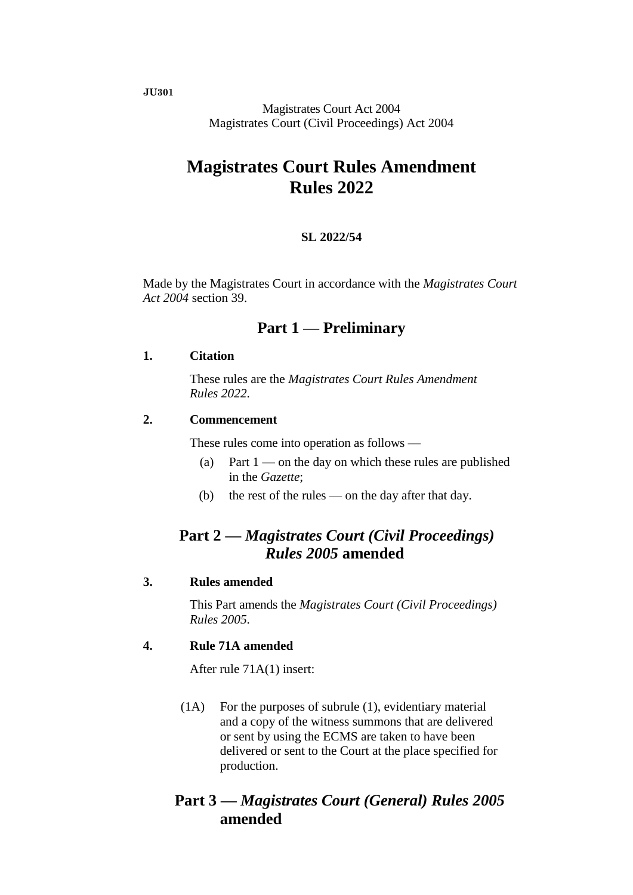**JU301**

Magistrates Court Act 2004 Magistrates Court (Civil Proceedings) Act 2004

# **Magistrates Court Rules Amendment Rules 2022**

#### **SL 2022/54**

Made by the Magistrates Court in accordance with the *Magistrates Court Act 2004* section 39.

## **Part 1 — Preliminary**

#### **1. Citation**

These rules are the *Magistrates Court Rules Amendment Rules 2022*.

#### **2. Commencement**

These rules come into operation as follows —

- (a) Part  $1$  on the day on which these rules are published in the *Gazette*;
- (b) the rest of the rules on the day after that day.

## **Part 2 —** *Magistrates Court (Civil Proceedings) Rules 2005* **amended**

#### **3. Rules amended**

This Part amends the *Magistrates Court (Civil Proceedings) Rules 2005*.

## **4. Rule 71A amended**

After rule 71A(1) insert:

(1A) For the purposes of subrule (1), evidentiary material and a copy of the witness summons that are delivered or sent by using the ECMS are taken to have been delivered or sent to the Court at the place specified for production.

## **Part 3 —** *Magistrates Court (General) Rules 2005* **amended**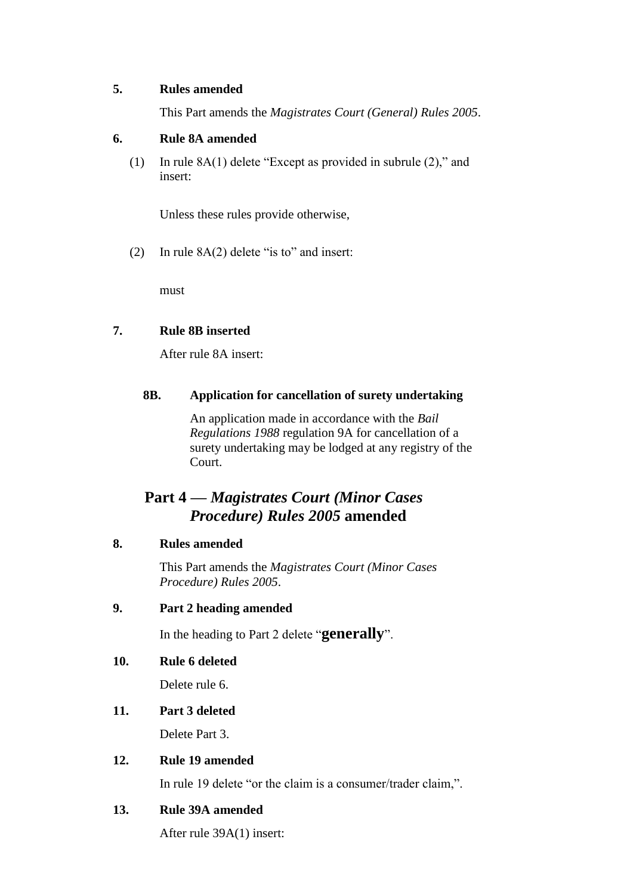### **5. Rules amended**

This Part amends the *Magistrates Court (General) Rules 2005*.

### **6. Rule 8A amended**

(1) In rule 8A(1) delete "Except as provided in subrule (2)," and insert:

Unless these rules provide otherwise,

(2) In rule 8A(2) delete "is to" and insert:

must

## **7. Rule 8B inserted**

After rule 8A insert:

## **8B. Application for cancellation of surety undertaking**

An application made in accordance with the *Bail Regulations 1988* regulation 9A for cancellation of a surety undertaking may be lodged at any registry of the Court.

## **Part 4 —** *Magistrates Court (Minor Cases Procedure) Rules 2005* **amended**

### **8. Rules amended**

This Part amends the *Magistrates Court (Minor Cases Procedure) Rules 2005*.

#### **9. Part 2 heading amended**

In the heading to Part 2 delete "**generally**".

## **10. Rule 6 deleted**

Delete rule 6.

## **11. Part 3 deleted**

Delete Part 3.

### **12. Rule 19 amended**

In rule 19 delete "or the claim is a consumer/trader claim,".

## **13. Rule 39A amended**

After rule 39A(1) insert: